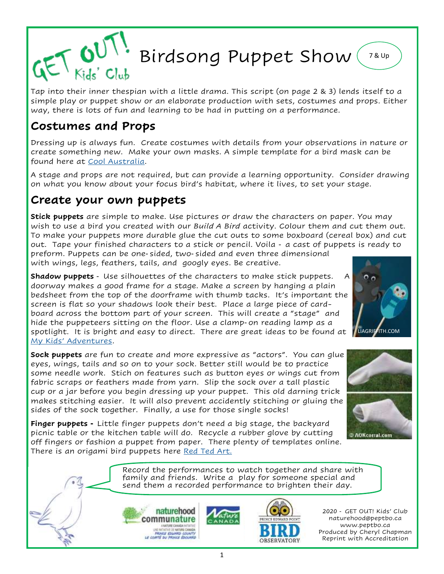

Tap into their inner thespian with a little drama. This script (on page 2 & 3) lends itself to a simple play or puppet show or an elaborate production with sets, costumes and props. Either way, there is lots of fun and learning to be had in putting on a performance.

## **Costumes and Props**

Dressing up is always fun. Create costumes with details from your observations in nature or create something new. Make your own masks. A simple template for a bird mask can be found here at [Cool Australia.](https://coolaustralia.org/wp-content/uploads/2014/04/bird-mask-template.pdf) 

A stage and props are not required, but can provide a learning opportunity. Consider drawing on what you know about your focus bird's habitat, where it lives, to set your stage.

### **Create your own puppets**

**Stick puppets** are simple to make. Use pictures or draw the characters on paper. You may wish to use a bird you created with our *Build A Bird* activity. Colour them and cut them out. To make your puppets more durable glue the cut outs to some boxboard (cereal box) and cut out. Tape your finished characters to a stick or pencil. Voila - a cast of puppets is ready to

preform. Puppets can be one-sided, two-sided and even three dimensional with wings, legs, feathers, tails, and googly eyes. Be creative.

**Shadow puppets** - Use silhouettes of the characters to make stick puppets. A doorway makes a good frame for a stage. Make a screen by hanging a plain bedsheet from the top of the doorframe with thumb tacks. It's important the screen is flat so your shadows look their best. Place a large piece of cardboard across the bottom part of your screen. This will create a "stage" and hide the puppeteers sitting on the floor. Use a clamp-on reading lamp as a spotlight. It is bright and easy to direct. There are great ideas to be found at [My Kids' Adventures.](http://www.mykidsadventures.com/shadow-puppet-show/)

**Sock puppets** are fun to create and more expressive as "actors". You can glue eyes, wings, tails and so on to your sock. Better still would be to practice some needle work. Stich on features such as button eyes or wings cut from fabric scraps or feathers made from yarn. Slip the sock over a tall plastic cup or a jar before you begin dressing up your puppet. This old darning trick makes stitching easier. It will also prevent accidently stitching or gluing the sides of the sock together. Finally, a use for those single socks!

**Finger puppets -** Little finger puppets don't need a big stage, the backyard picnic table or the kitchen table will do. Recycle a rubber glove by cutting off fingers or fashion a puppet from paper. There plenty of templates online. There is an origami bird puppets here [Red Ted Art.](https://www.redtedart.com/easy-bird-finger-puppet-origami/)

> Record the performances to watch together and share with family and friends. Write a play for someone special and send them a recorded performance to brighten their day.





2020 - GET OUT! Kids' Club naturehood@peptbo.ca www.peptbo.ca Produced by Cheryl Chapman Reprint with Accreditation



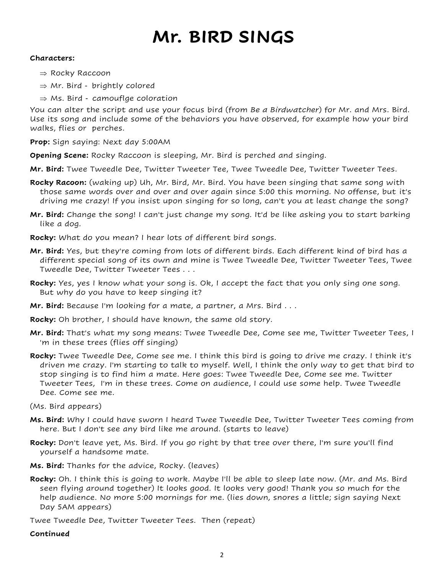# **Mr. BIRD SINGS**

#### **Characters:**

- $\Rightarrow$  Rocky Raccoon
- $\Rightarrow$  Mr. Bird brightly colored
- $\Rightarrow$  Ms. Bird camouflge coloration

You can alter the script and use your focus bird (from *Be a Birdwatcher*) for Mr. and Mrs. Bird. Use its song and include some of the behaviors you have observed, for example how your bird walks, flies or perches.

**Prop:** Sign saying: Next day 5:00AM

**Opening Scene:** Rocky Raccoon is sleeping, Mr. Bird is perched and singing.

**Mr. Bird:** Twee Tweedle Dee, Twitter Tweeter Tee, Twee Tweedle Dee, Twitter Tweeter Tees.

- **Rocky Racoon:** (waking up) Uh, Mr. Bird, Mr. Bird. You have been singing that same song with those same words over and over and over again since 5:00 this morning. No offense, but it's driving me crazy! If you insist upon singing for so long, can't you at least change the song?
- **Mr. Bird:** Change the song! I can't just change my song. It'd be like asking you to start barking like a dog.
- **Rocky:** What do you mean? I hear lots of different bird songs.
- **Mr. Bird:** Yes, but they're coming from lots of different birds. Each different kind of bird has a different special song of its own and mine is Twee Tweedle Dee, Twitter Tweeter Tees, Twee Tweedle Dee, Twitter Tweeter Tees . . .
- **Rocky:** Yes, yes I know what your song is. Ok, I accept the fact that you only sing one song. But why do you have to keep singing it?
- **Mr. Bird:** Because I'm looking for a mate, a partner, a Mrs. Bird . . .
- **Rocky:** Oh brother, I should have known, the same old story.
- **Mr. Bird:** That's what my song means: Twee Tweedle Dee, Come see me, Twitter Tweeter Tees, I 'm in these trees (flies off singing)
- **Rocky:** Twee Tweedle Dee, Come see me. I think this bird is going to drive me crazy. I think it's driven me crazy. I'm starting to talk to myself. Well, I think the only way to get that bird to stop singing is to find him a mate. Here goes: Twee Tweedle Dee, Come see me. Twitter Tweeter Tees, I'm in these trees. Come on audience, I could use some help. Twee Tweedle Dee. Come see me.
- (Ms. Bird appears)
- **Ms. Bird:** Why I could have sworn I heard Twee Tweedle Dee, Twitter Tweeter Tees coming from here. But I don't see any bird like me around. (starts to leave)
- **Rocky:** Don't leave yet, Ms. Bird. If you go right by that tree over there, I'm sure you'll find yourself a handsome mate.
- **Ms. Bird:** Thanks for the advice, Rocky. (leaves)
- **Rocky:** Oh. I think this is going to work. Maybe I'll be able to sleep late now. (Mr. and Ms. Bird seen flying around together) It looks good. It looks very good! Thank you so much for the help audience. No more 5:00 mornings for me. (lies down, snores a little; sign saying Next Day 5AM appears)

Twee Tweedle Dee, Twitter Tweeter Tees. Then (repeat)

**Continued**